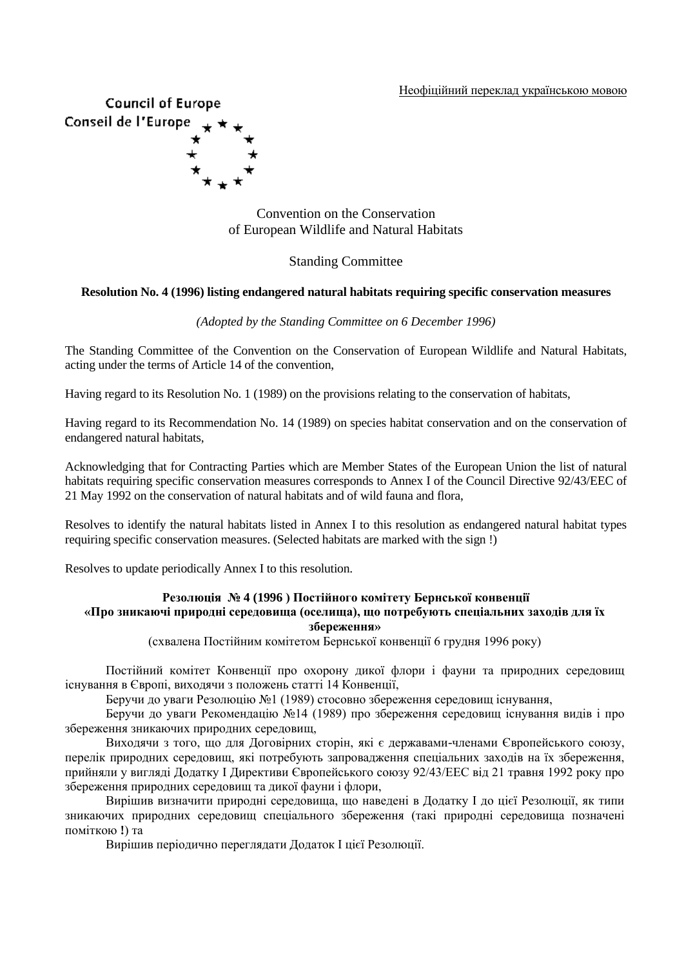Неофіційний переклад українською мовою



Convention on the Conservation of European Wildlife and Natural Habitats

### Standing Committee

#### **Resolution No. 4 (1996) listing endangered natural habitats requiring specific conservation measures**

#### *(Adopted by the Standing Committee on 6 December 1996)*

The Standing Committee of the Convention on the Conservation of European Wildlife and Natural Habitats, acting under the terms of Article 14 of the convention,

Having regard to its Resolution No. 1 (1989) on the provisions relating to the conservation of habitats,

Having regard to its Recommendation No. 14 (1989) on species habitat conservation and on the conservation of endangered natural habitats,

Acknowledging that for Contracting Parties which are Member States of the European Union the list of natural habitats requiring specific conservation measures corresponds to Annex I of the Council Directive 92/43/EEC of 21 May 1992 on the conservation of natural habitats and of wild fauna and flora,

Resolves to identify the natural habitats listed in Annex I to this resolution as endangered natural habitat types requiring specific conservation measures. (Selected habitats are marked with the sign !)

Resolves to update periodically Annex I to this resolution.

#### **Резолюція № 4 (1996 ) Постійного комітету Бернської конвенції «Про зникаючі природні середовища (оселища), що потребують спеціальних заходів для їх збереження»**

(схвалена Постійним комітетом Бернської конвенції 6 грудня 1996 року)

Постійний комітет Конвенції про охорону дикої флори і фауни та природних середовищ існування в Європі, виходячи з положень статті 14 Конвенції,

Беручи до уваги Резолюцію №1 (1989) стосовно збереження середовищ існування,

Беручи до уваги Рекомендацію №14 (1989) про збереження середовищ існування видів і про збереження зникаючих природних середовищ,

Виходячи з того, що для Договірних сторін, які є державами-членами Європейського союзу, перелік природних середовищ, які потребують запровадження спеціальних заходів на їх збереження, прийняли у вигляді Додатку І Директиви Європейського союзу 92/43/ЕЕС від 21 травня 1992 року про збереження природних середовищ та дикої фауни і флори,

Вирішив визначити природні середовища, що наведені в Додатку І до цієї Резолюції, як типи зникаючих природних середовищ спеціального збереження (такі природні середовища позначені поміткою **!**) та

Вирішив періодично переглядати Додаток І цієї Резолюції.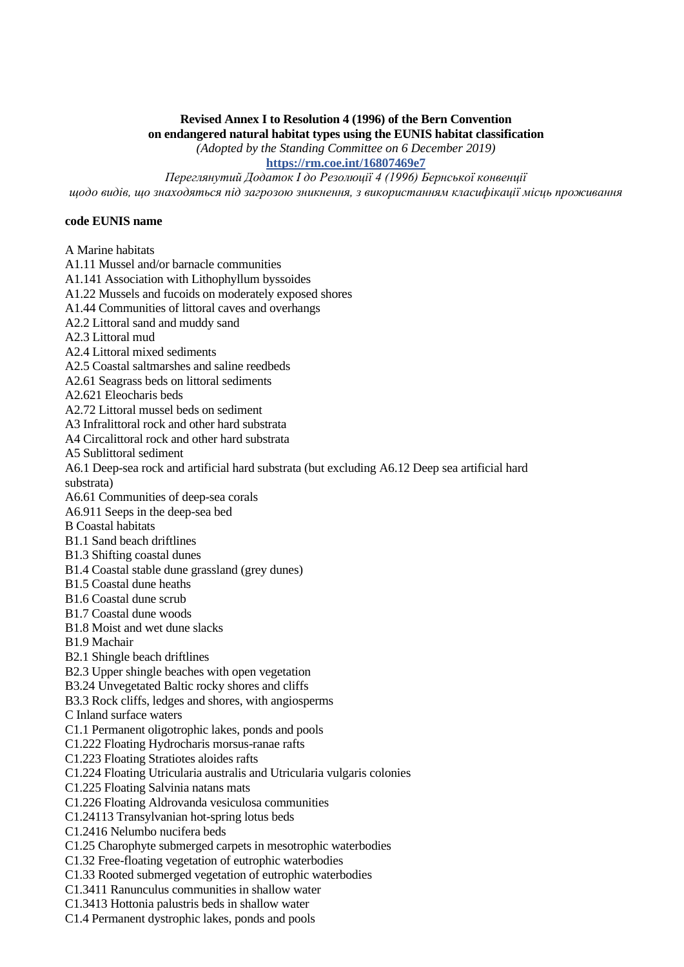## **Revised Annex I to Resolution 4 (1996) of the Bern Convention**

**on endangered natural habitat types using the EUNIS habitat classification**

*(Adopted by the Standing Committee on 6 December 2019)*

**<https://rm.coe.int/16807469e7>**

*Переглянутий Додаток I до Резолюції 4 (1996) Бернської конвенції*

# *щодо видів, що знаходяться під загрозою зникнення, з використанням класифікації місць проживання*

#### **code EUNIS name**

A Marine habitats

A1.11 Mussel and/or barnacle communities

A1.141 Association with Lithophyllum byssoides

A1.22 Mussels and fucoids on moderately exposed shores

A1.44 Communities of littoral caves and overhangs

A2.2 Littoral sand and muddy sand

A2.3 Littoral mud

A2.4 Littoral mixed sediments

A2.5 Coastal saltmarshes and saline reedbeds

A2.61 Seagrass beds on littoral sediments

A2.621 Eleocharis beds

A2.72 Littoral mussel beds on sediment

A3 Infralittoral rock and other hard substrata

A4 Circalittoral rock and other hard substrata

A5 Sublittoral sediment

A6.1 Deep-sea rock and artificial hard substrata (but excluding A6.12 Deep sea artificial hard substrata)

A6.61 Communities of deep-sea corals

A6.911 Seeps in the deep-sea bed

B Coastal habitats

B1.1 Sand beach driftlines

B1.3 Shifting coastal dunes

B1.4 Coastal stable dune grassland (grey dunes)

B1.5 Coastal dune heaths

B1.6 Coastal dune scrub

B1.7 Coastal dune woods

B1.8 Moist and wet dune slacks

B1.9 Machair

B2.1 Shingle beach driftlines

B2.3 Upper shingle beaches with open vegetation

B3.24 Unvegetated Baltic rocky shores and cliffs

B3.3 Rock cliffs, ledges and shores, with angiosperms

C Inland surface waters

C1.1 Permanent oligotrophic lakes, ponds and pools

C1.222 Floating Hydrocharis morsus-ranae rafts

C1.223 Floating Stratiotes aloides rafts

C1.224 Floating Utricularia australis and Utricularia vulgaris colonies

C1.225 Floating Salvinia natans mats

C1.226 Floating Aldrovanda vesiculosa communities

C1.24113 Transylvanian hot-spring lotus beds

C1.2416 Nelumbo nucifera beds

C1.25 Charophyte submerged carpets in mesotrophic waterbodies

C1.32 Free-floating vegetation of eutrophic waterbodies

C1.33 Rooted submerged vegetation of eutrophic waterbodies

C1.3411 Ranunculus communities in shallow water

C1.3413 Hottonia palustris beds in shallow water

C1.4 Permanent dystrophic lakes, ponds and pools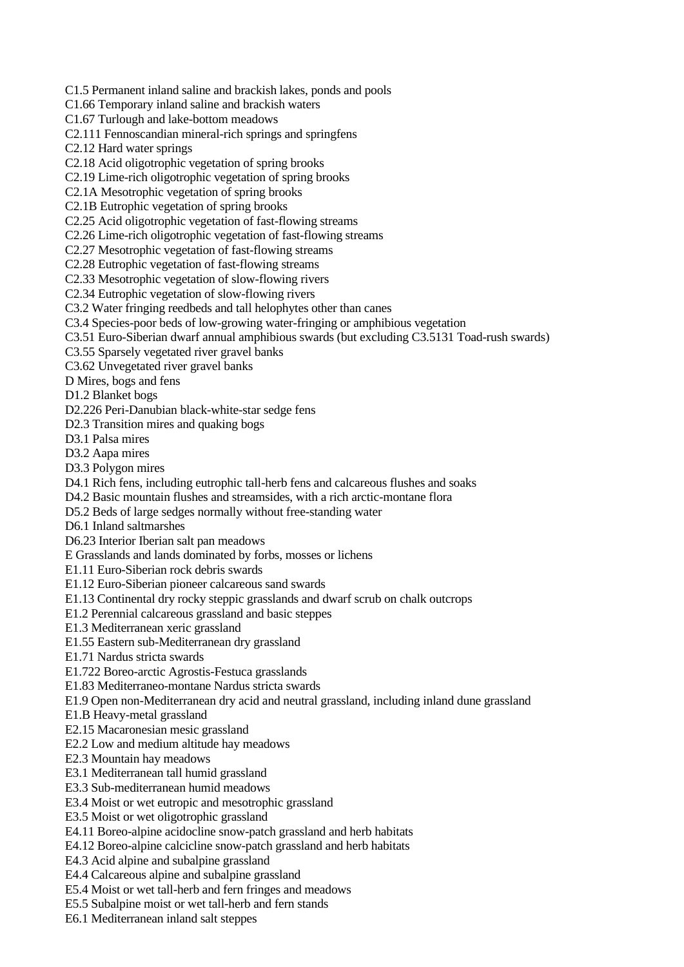- C1.5 Permanent inland saline and brackish lakes, ponds and pools
- C1.66 Temporary inland saline and brackish waters
- C1.67 Turlough and lake-bottom meadows
- C2.111 Fennoscandian mineral-rich springs and springfens
- C2.12 Hard water springs
- C2.18 Acid oligotrophic vegetation of spring brooks
- C2.19 Lime-rich oligotrophic vegetation of spring brooks
- C2.1A Mesotrophic vegetation of spring brooks
- C2.1B Eutrophic vegetation of spring brooks
- C2.25 Acid oligotrophic vegetation of fast-flowing streams
- C2.26 Lime-rich oligotrophic vegetation of fast-flowing streams
- C2.27 Mesotrophic vegetation of fast-flowing streams
- C2.28 Eutrophic vegetation of fast-flowing streams
- C2.33 Mesotrophic vegetation of slow-flowing rivers
- C2.34 Eutrophic vegetation of slow-flowing rivers
- C3.2 Water fringing reedbeds and tall helophytes other than canes
- C3.4 Species-poor beds of low-growing water-fringing or amphibious vegetation
- C3.51 Euro-Siberian dwarf annual amphibious swards (but excluding C3.5131 Toad-rush swards)
- C3.55 Sparsely vegetated river gravel banks
- C3.62 Unvegetated river gravel banks
- D Mires, bogs and fens
- D1.2 Blanket bogs
- D2.226 Peri-Danubian black-white-star sedge fens
- D2.3 Transition mires and quaking bogs
- D3.1 Palsa mires
- D3.2 Aapa mires
- D3.3 Polygon mires
- D4.1 Rich fens, including eutrophic tall-herb fens and calcareous flushes and soaks
- D4.2 Basic mountain flushes and streamsides, with a rich arctic-montane flora
- D5.2 Beds of large sedges normally without free-standing water
- D6.1 Inland saltmarshes
- D6.23 Interior Iberian salt pan meadows
- E Grasslands and lands dominated by forbs, mosses or lichens
- E1.11 Euro-Siberian rock debris swards
- E1.12 Euro-Siberian pioneer calcareous sand swards
- E1.13 Continental dry rocky steppic grasslands and dwarf scrub on chalk outcrops
- E1.2 Perennial calcareous grassland and basic steppes
- E1.3 Mediterranean xeric grassland
- E1.55 Eastern sub-Mediterranean dry grassland
- E1.71 Nardus stricta swards
- E1.722 Boreo-arctic Agrostis-Festuca grasslands
- E1.83 Mediterraneo-montane Nardus stricta swards
- E1.9 Open non-Mediterranean dry acid and neutral grassland, including inland dune grassland
- E1.B Heavy-metal grassland
- E2.15 Macaronesian mesic grassland
- E2.2 Low and medium altitude hay meadows
- E2.3 Mountain hay meadows
- E3.1 Mediterranean tall humid grassland
- E3.3 Sub-mediterranean humid meadows
- E3.4 Moist or wet eutropic and mesotrophic grassland
- E3.5 Moist or wet oligotrophic grassland
- E4.11 Boreo-alpine acidocline snow-patch grassland and herb habitats
- E4.12 Boreo-alpine calcicline snow-patch grassland and herb habitats
- E4.3 Acid alpine and subalpine grassland
- E4.4 Calcareous alpine and subalpine grassland
- E5.4 Moist or wet tall-herb and fern fringes and meadows
- E5.5 Subalpine moist or wet tall-herb and fern stands
- E6.1 Mediterranean inland salt steppes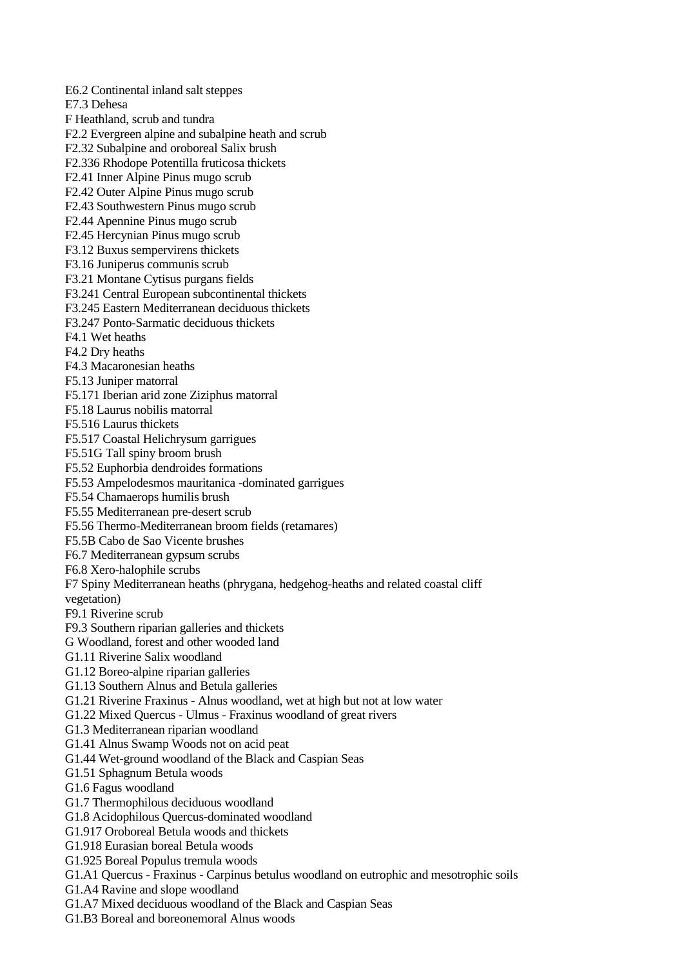E6.2 Continental inland salt steppes E7.3 Dehesa F Heathland, scrub and tundra F2.2 Evergreen alpine and subalpine heath and scrub F2.32 Subalpine and oroboreal Salix brush F2.336 Rhodope Potentilla fruticosa thickets F2.41 Inner Alpine Pinus mugo scrub F2.42 Outer Alpine Pinus mugo scrub F2.43 Southwestern Pinus mugo scrub F2.44 Apennine Pinus mugo scrub F2.45 Hercynian Pinus mugo scrub F3.12 Buxus sempervirens thickets F3.16 Juniperus communis scrub F3.21 Montane Cytisus purgans fields F3.241 Central European subcontinental thickets F3.245 Eastern Mediterranean deciduous thickets F3.247 Ponto-Sarmatic deciduous thickets F4.1 Wet heaths F4.2 Dry heaths F4.3 Macaronesian heaths F5.13 Juniper matorral F5.171 Iberian arid zone Ziziphus matorral F5.18 Laurus nobilis matorral F5.516 Laurus thickets F5.517 Coastal Helichrysum garrigues F5.51G Tall spiny broom brush F5.52 Euphorbia dendroides formations F5.53 Ampelodesmos mauritanica -dominated garrigues F5.54 Chamaerops humilis brush F5.55 Mediterranean pre-desert scrub F5.56 Thermo-Mediterranean broom fields (retamares) F5.5B Cabo de Sao Vicente brushes F6.7 Mediterranean gypsum scrubs F6.8 Xero-halophile scrubs F7 Spiny Mediterranean heaths (phrygana, hedgehog-heaths and related coastal cliff vegetation) F9.1 Riverine scrub F9.3 Southern riparian galleries and thickets G Woodland, forest and other wooded land G1.11 Riverine Salix woodland G1.12 Boreo-alpine riparian galleries G1.13 Southern Alnus and Betula galleries G1.21 Riverine Fraxinus - Alnus woodland, wet at high but not at low water G1.22 Mixed Quercus - Ulmus - Fraxinus woodland of great rivers G1.3 Mediterranean riparian woodland G1.41 Alnus Swamp Woods not on acid peat G1.44 Wet-ground woodland of the Black and Caspian Seas G1.51 Sphagnum Betula woods G1.6 Fagus woodland G1.7 Thermophilous deciduous woodland G1.8 Acidophilous Quercus-dominated woodland G1.917 Oroboreal Betula woods and thickets G1.918 Eurasian boreal Betula woods G1.925 Boreal Populus tremula woods G1.A1 Quercus - Fraxinus - Carpinus betulus woodland on eutrophic and mesotrophic soils G1.A4 Ravine and slope woodland G1.A7 Mixed deciduous woodland of the Black and Caspian Seas

G1.B3 Boreal and boreonemoral Alnus woods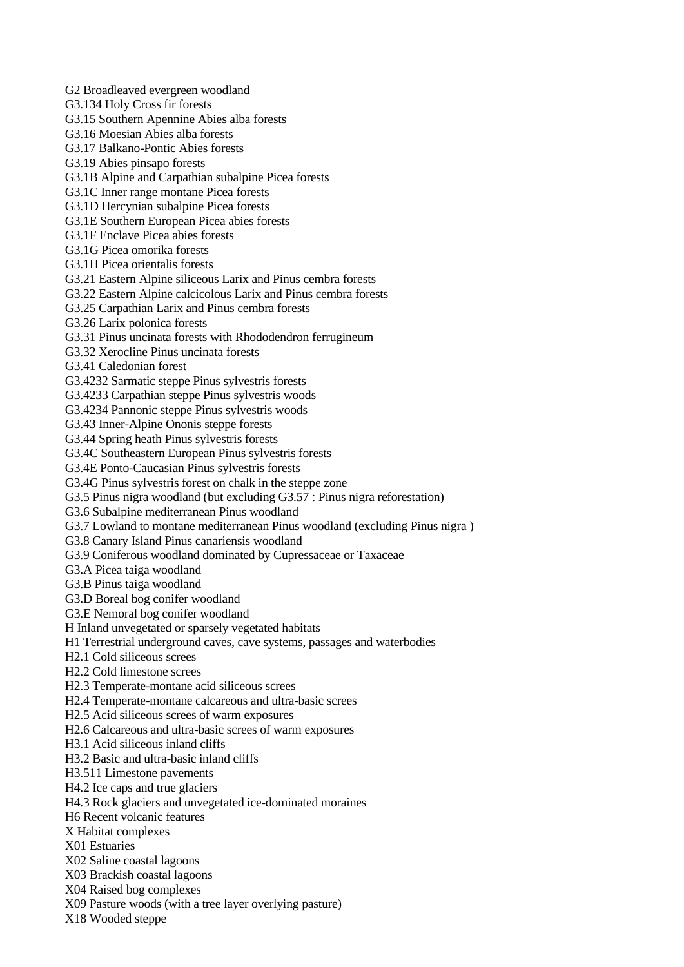G3.134 Holy Cross fir forests G3.15 Southern Apennine Abies alba forests G3.16 Moesian Abies alba forests G3.17 Balkano-Pontic Abies forests G3.19 Abies pinsapo forests G3.1B Alpine and Carpathian subalpine Picea forests G3.1C Inner range montane Picea forests G3.1D Hercynian subalpine Picea forests G3.1E Southern European Picea abies forests G3.1F Enclave Picea abies forests G3.1G Picea omorika forests G3.1H Picea orientalis forests G3.21 Eastern Alpine siliceous Larix and Pinus cembra forests G3.22 Eastern Alpine calcicolous Larix and Pinus cembra forests G3.25 Carpathian Larix and Pinus cembra forests G3.26 Larix polonica forests G3.31 Pinus uncinata forests with Rhododendron ferrugineum G3.32 Xerocline Pinus uncinata forests G3.41 Caledonian forest G3.4232 Sarmatic steppe Pinus sylvestris forests G3.4233 Carpathian steppe Pinus sylvestris woods G3.4234 Pannonic steppe Pinus sylvestris woods G3.43 Inner-Alpine Ononis steppe forests G3.44 Spring heath Pinus sylvestris forests G3.4C Southeastern European Pinus sylvestris forests G3.4E Ponto-Caucasian Pinus sylvestris forests G3.4G Pinus sylvestris forest on chalk in the steppe zone G3.5 Pinus nigra woodland (but excluding G3.57 : Pinus nigra reforestation) G3.6 Subalpine mediterranean Pinus woodland G3.7 Lowland to montane mediterranean Pinus woodland (excluding Pinus nigra ) G3.8 Canary Island Pinus canariensis woodland G3.9 Coniferous woodland dominated by Cupressaceae or Taxaceae G3.A Picea taiga woodland G3.B Pinus taiga woodland G3.D Boreal bog conifer woodland G3.E Nemoral bog conifer woodland H Inland unvegetated or sparsely vegetated habitats H1 Terrestrial underground caves, cave systems, passages and waterbodies H2.1 Cold siliceous screes H2.2 Cold limestone screes H2.3 Temperate-montane acid siliceous screes H2.4 Temperate-montane calcareous and ultra-basic screes H2.5 Acid siliceous screes of warm exposures H2.6 Calcareous and ultra-basic screes of warm exposures H3.1 Acid siliceous inland cliffs H3.2 Basic and ultra-basic inland cliffs H3.511 Limestone pavements H4.2 Ice caps and true glaciers H4.3 Rock glaciers and unvegetated ice-dominated moraines H6 Recent volcanic features X Habitat complexes X01 Estuaries X02 Saline coastal lagoons X03 Brackish coastal lagoons X04 Raised bog complexes X09 Pasture woods (with a tree layer overlying pasture) X18 Wooded steppe

G2 Broadleaved evergreen woodland